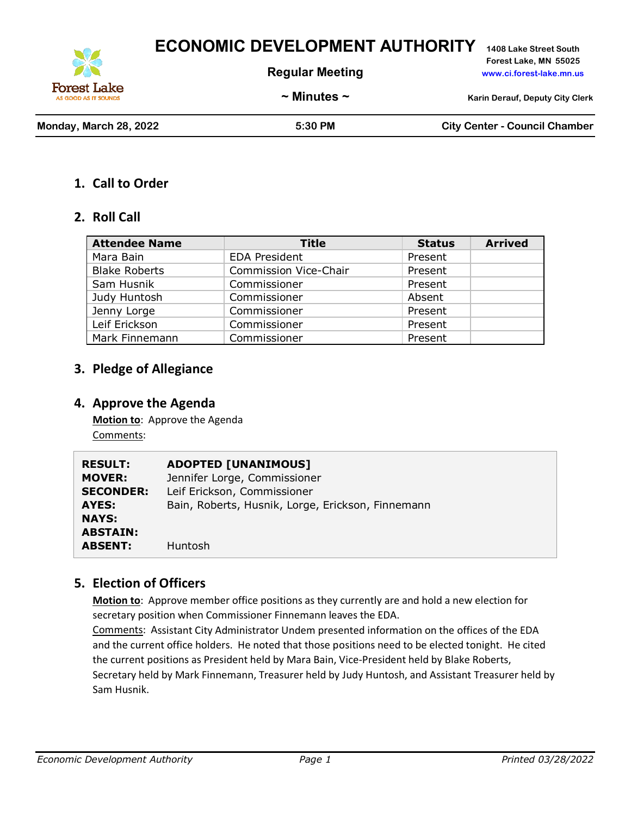**ECONOMIC DEVELOPMENT AUTHORITY 1408 Lake Street South**

**Regular Meeting www.ci.forest-lake.mn.us**

**Forest Lake, MN 55025**

**Forest Lake** AS GOOD AS IT SOUND

**~ Minutes ~ Karin Derauf, Deputy City Clerk**

**Monday, March 28, 2022 5:30 PM City Center - Council Chamber**

#### **1. Call to Order**

#### **2. Roll Call**

| <b>Attendee Name</b> | <b>Title</b>                 | <b>Status</b> | <b>Arrived</b> |
|----------------------|------------------------------|---------------|----------------|
| Mara Bain            | <b>EDA President</b>         | Present       |                |
| <b>Blake Roberts</b> | <b>Commission Vice-Chair</b> | Present       |                |
| Sam Husnik           | Commissioner                 | Present       |                |
| Judy Huntosh         | Commissioner                 | Absent        |                |
| Jenny Lorge          | Commissioner                 | Present       |                |
| Leif Erickson        | Commissioner                 | Present       |                |
| Mark Finnemann       | Commissioner                 | Present       |                |

### **3. Pledge of Allegiance**

#### **4. Approve the Agenda**

**Motion to**: Approve the Agenda Comments:

| <b>RESULT:</b>   | <b>ADOPTED [UNANIMOUS]</b>                        |
|------------------|---------------------------------------------------|
| <b>MOVER:</b>    | Jennifer Lorge, Commissioner                      |
| <b>SECONDER:</b> | Leif Erickson, Commissioner                       |
| AYES:            | Bain, Roberts, Husnik, Lorge, Erickson, Finnemann |
| <b>NAYS:</b>     |                                                   |
| <b>ABSTAIN:</b>  |                                                   |
| <b>ABSENT:</b>   | <b>Huntosh</b>                                    |
|                  |                                                   |

## **5. Election of Officers**

**Motion to**: Approve member office positions as they currently are and hold a new election for secretary position when Commissioner Finnemann leaves the EDA.

Comments: Assistant City Administrator Undem presented information on the offices of the EDA and the current office holders. He noted that those positions need to be elected tonight. He cited the current positions as President held by Mara Bain, Vice-President held by Blake Roberts, Secretary held by Mark Finnemann, Treasurer held by Judy Huntosh, and Assistant Treasurer held by Sam Husnik.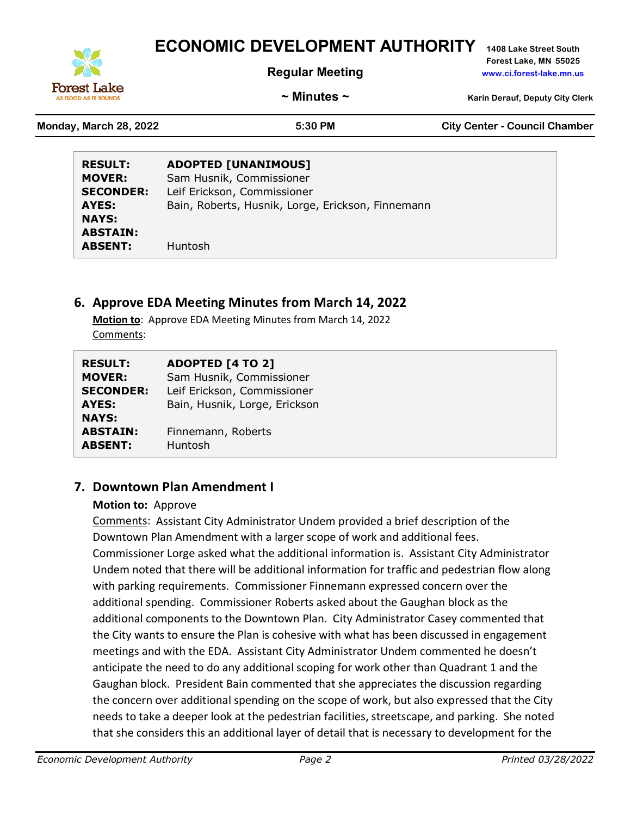# **ECONOMIC DEVELOPMENT AUTHORITY 1408 Lake Street South**



**Forest Lake, MN 55025 Regular Meeting www.ci.forest-lake.mn.us**

**~ Minutes ~ Karin Derauf, Deputy City Clerk**

**Monday, March 28, 2022 5:30 PM City Center - Council Chamber**

| <b>RESULT:</b>   | <b>ADOPTED [UNANIMOUS]</b>                        |
|------------------|---------------------------------------------------|
| <b>MOVER:</b>    | Sam Husnik, Commissioner                          |
| <b>SECONDER:</b> | Leif Erickson, Commissioner                       |
| AYES:            | Bain, Roberts, Husnik, Lorge, Erickson, Finnemann |
| <b>NAYS:</b>     |                                                   |
| <b>ABSTAIN:</b>  |                                                   |
| <b>ABSENT:</b>   | Huntosh                                           |

# **6. Approve EDA Meeting Minutes from March 14, 2022**

**Motion to**: Approve EDA Meeting Minutes from March 14, 2022 Comments:

| <b>RESULT:</b>   | <b>ADOPTED [4 TO 2]</b>       |
|------------------|-------------------------------|
| <b>MOVER:</b>    | Sam Husnik, Commissioner      |
| <b>SECONDER:</b> | Leif Erickson, Commissioner   |
| AYES:            | Bain, Husnik, Lorge, Erickson |
| <b>NAYS:</b>     |                               |
| <b>ABSTAIN:</b>  | Finnemann, Roberts            |
| <b>ABSENT:</b>   | Huntosh                       |

# **7. Downtown Plan Amendment I**

#### **Motion to:** Approve

Comments: Assistant City Administrator Undem provided a brief description of the Downtown Plan Amendment with a larger scope of work and additional fees. Commissioner Lorge asked what the additional information is. Assistant City Administrator Undem noted that there will be additional information for traffic and pedestrian flow along with parking requirements. Commissioner Finnemann expressed concern over the additional spending. Commissioner Roberts asked about the Gaughan block as the additional components to the Downtown Plan. City Administrator Casey commented that the City wants to ensure the Plan is cohesive with what has been discussed in engagement meetings and with the EDA. Assistant City Administrator Undem commented he doesn't anticipate the need to do any additional scoping for work other than Quadrant 1 and the Gaughan block. President Bain commented that she appreciates the discussion regarding the concern over additional spending on the scope of work, but also expressed that the City needs to take a deeper look at the pedestrian facilities, streetscape, and parking. She noted that she considers this an additional layer of detail that is necessary to development for the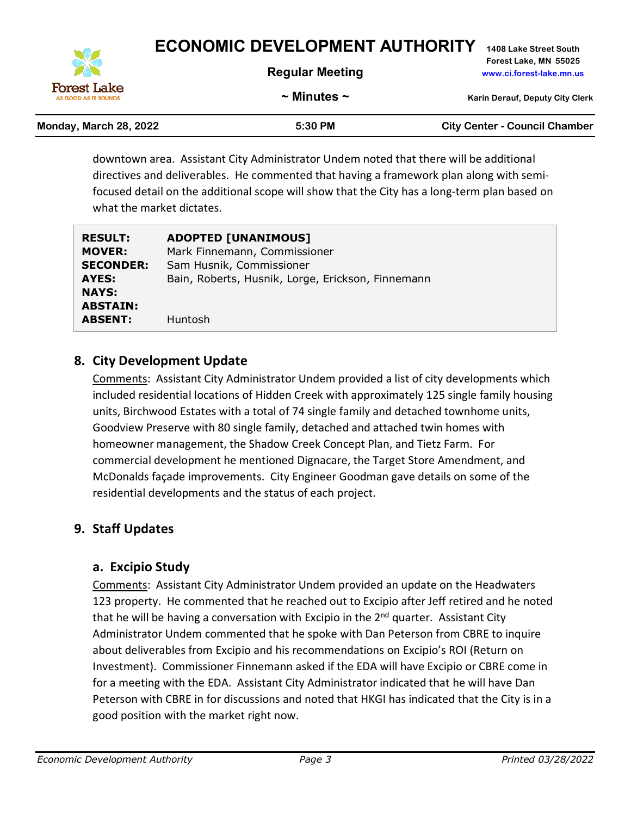

**~ Minutes ~ Karin Derauf, Deputy City Clerk**

**Monday, March 28, 2022 5:30 PM City Center - Council Chamber**

| Monday, March 28, 2022 |  |  |  |  |
|------------------------|--|--|--|--|
|------------------------|--|--|--|--|

**AS GOOD AS IT SOUN** 

downtown area. Assistant City Administrator Undem noted that there will be additional directives and deliverables. He commented that having a framework plan along with semifocused detail on the additional scope will show that the City has a long-term plan based on what the market dictates.

| <b>RESULT:</b>   | <b>ADOPTED [UNANIMOUS]</b>                        |
|------------------|---------------------------------------------------|
| <b>MOVER:</b>    | Mark Finnemann, Commissioner                      |
| <b>SECONDER:</b> | Sam Husnik, Commissioner                          |
| AYES:            | Bain, Roberts, Husnik, Lorge, Erickson, Finnemann |
| <b>NAYS:</b>     |                                                   |
| <b>ABSTAIN:</b>  |                                                   |
| <b>ABSENT:</b>   | <b>Huntosh</b>                                    |

# **8. City Development Update**

Comments: Assistant City Administrator Undem provided a list of city developments which included residential locations of Hidden Creek with approximately 125 single family housing units, Birchwood Estates with a total of 74 single family and detached townhome units, Goodview Preserve with 80 single family, detached and attached twin homes with homeowner management, the Shadow Creek Concept Plan, and Tietz Farm. For commercial development he mentioned Dignacare, the Target Store Amendment, and McDonalds façade improvements. City Engineer Goodman gave details on some of the residential developments and the status of each project.

# **9. Staff Updates**

## **a. Excipio Study**

Comments: Assistant City Administrator Undem provided an update on the Headwaters 123 property. He commented that he reached out to Excipio after Jeff retired and he noted that he will be having a conversation with Excipio in the 2<sup>nd</sup> quarter. Assistant City Administrator Undem commented that he spoke with Dan Peterson from CBRE to inquire about deliverables from Excipio and his recommendations on Excipio's ROI (Return on Investment). Commissioner Finnemann asked if the EDA will have Excipio or CBRE come in for a meeting with the EDA. Assistant City Administrator indicated that he will have Dan Peterson with CBRE in for discussions and noted that HKGI has indicated that the City is in a good position with the market right now.